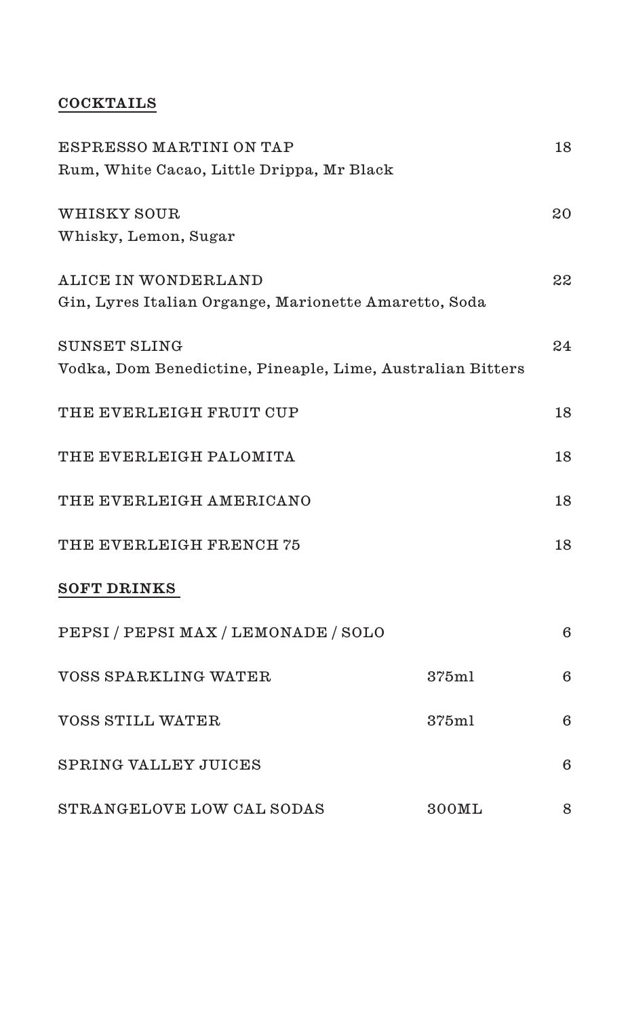# **COCKTAILS**

| ESPRESSO MARTINI ON TAP                                    |       | 18 |
|------------------------------------------------------------|-------|----|
| Rum, White Cacao, Little Drippa, Mr Black                  |       |    |
| WHISKY SOUR                                                |       | 20 |
| Whisky, Lemon, Sugar                                       |       |    |
| <b>ALICE IN WONDERLAND</b>                                 |       | 22 |
| Gin, Lyres Italian Organge, Marionette Amaretto, Soda      |       |    |
| SUNSET SLING                                               |       | 24 |
| Vodka, Dom Benedictine, Pineaple, Lime, Australian Bitters |       |    |
| THE EVERLEIGH FRUIT CUP                                    |       | 18 |
| THE EVERLEIGH PALOMITA                                     |       | 18 |
| THE EVERLEIGH AMERICANO                                    |       | 18 |
| THE EVERLEIGH FRENCH 75                                    |       | 18 |
| <b>SOFT DRINKS</b>                                         |       |    |
| PEPSI / PEPSI MAX / LEMONADE / SOLO                        |       | 6  |
| VOSS SPARKLING WATER                                       | 375m1 | 6  |
| <b>VOSS STILL WATER</b>                                    | 375ml | 6  |
| SPRING VALLEY JUICES                                       |       | 6  |
| STRANGELOVE LOW CAL SODAS                                  | 300ML | 8  |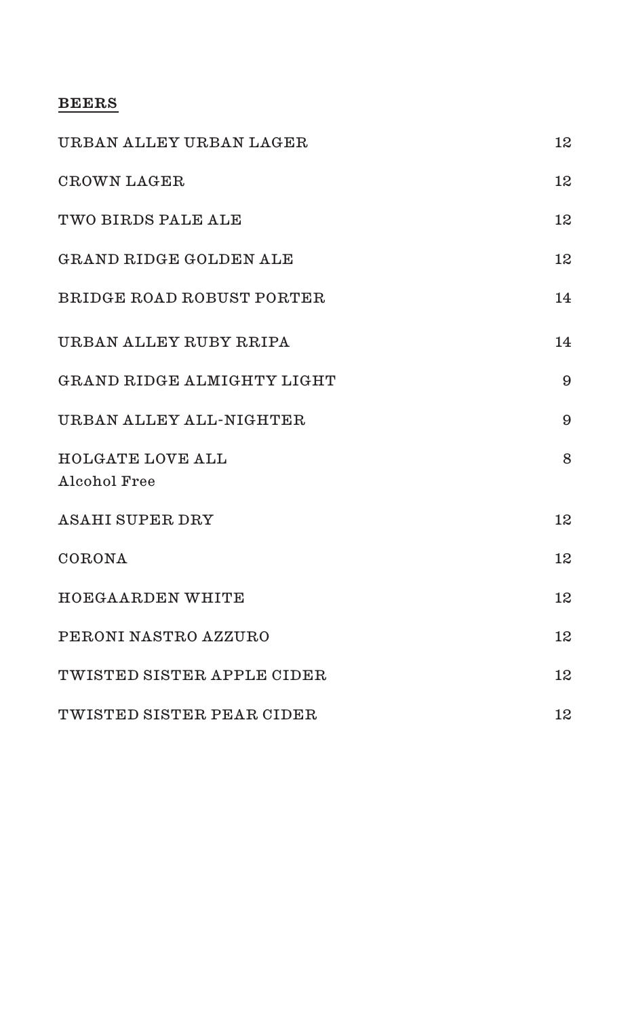### **BEERS**

| URBAN ALLEY URBAN LAGER                 | 12 |
|-----------------------------------------|----|
| CROWN LAGER                             | 12 |
| TWO BIRDS PALE ALE                      | 12 |
| GRAND RIDGE GOLDEN ALE                  | 12 |
| BRIDGE ROAD ROBUST PORTER               | 14 |
| URBAN ALLEY RUBY RRIPA                  | 14 |
| GRAND RIDGE ALMIGHTY LIGHT              | 9  |
| URBAN ALLEY ALL-NIGHTER                 | 9  |
| <b>HOLGATE LOVE ALL</b><br>Alcohol Free | 8  |
| <b>ASAHI SUPER DRY</b>                  | 12 |
| CORONA                                  | 12 |
| HOEGAARDEN WHITE                        | 12 |
| PERONI NASTRO AZZURO                    | 12 |
| TWISTED SISTER APPLE CIDER              | 12 |
| TWISTED SISTER PEAR CIDER               | 12 |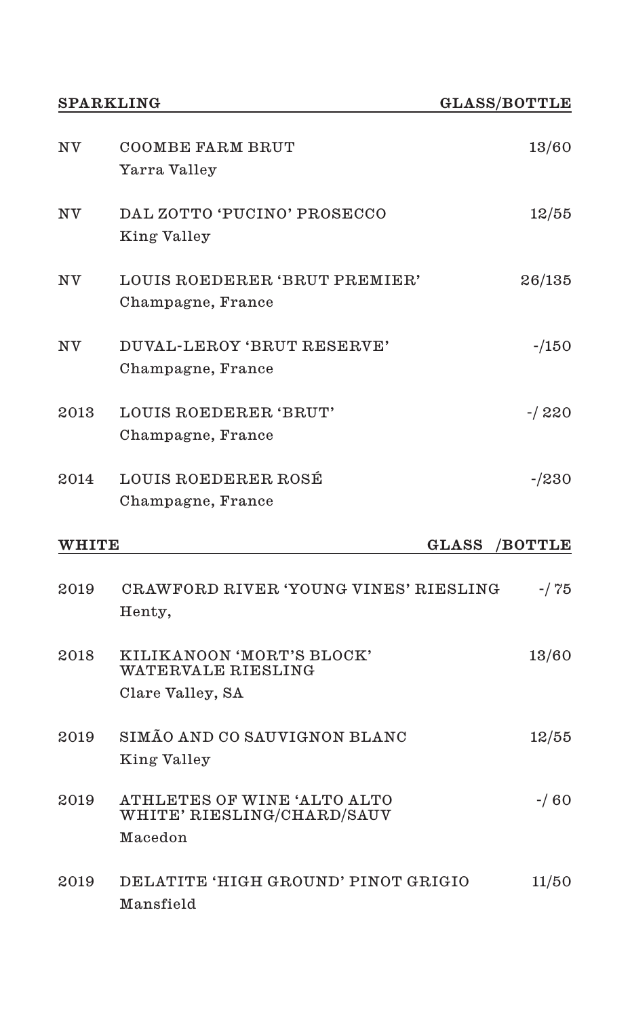| ΝV           | COOMBE FARM BRUT<br>Yarra Valley                          | 13/60                  |
|--------------|-----------------------------------------------------------|------------------------|
| NV           | DAL ZOTTO 'PUCINO' PROSECCO<br>King Valley                | 12/55                  |
| ΝV           | LOUIS ROEDERER 'BRUT PREMIER'<br>Champagne, France        | 26/135                 |
| ΝV           | DUVAL-LEROY 'BRUT RESERVE'<br>Champagne, France           | $-150$                 |
| 2013         | LOUIS ROEDERER 'BRUT'<br>Champagne, France                | $-1220$                |
| 2014         | LOUIS ROEDERER ROSÉ<br>Champagne, France                  | $-230$                 |
|              |                                                           |                        |
| <b>WHITE</b> |                                                           | $\rm GLASS$<br>/BOTTLE |
| 2019         | CRAWFORD RIVER 'YOUNG VINES' RIESLING<br>Henty,           | $-175$                 |
| 2018         | KILIKANOON 'MORT'S BLOCK'<br>WATERVALE RIESLING           | 13/60                  |
|              | Clare Valley, SA                                          |                        |
| 2019         | SIMÃO AND CO SAUVIGNON BLANC<br>King Valley               | 12/55                  |
| 2019         | ATHLETES OF WINE 'ALTO ALTO<br>WHITE' RIESLING/CHARD/SAUV | $-160$                 |
|              | Macedon                                                   |                        |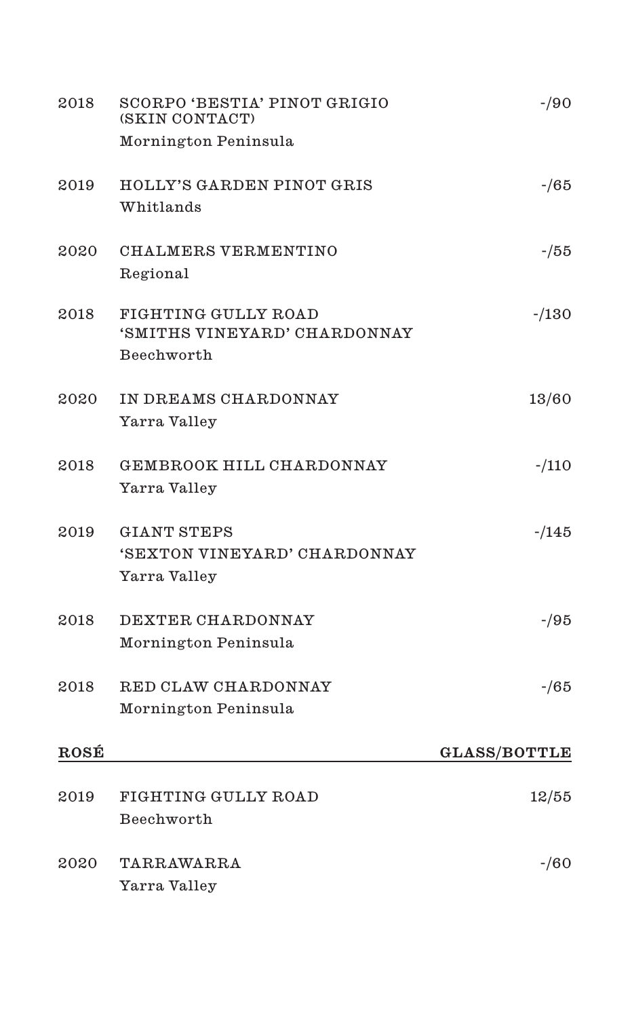| 2018 | SCORPO 'BESTIA' PINOT GRIGIO<br>(SKIN CONTACT)     | $-90$               |
|------|----------------------------------------------------|---------------------|
|      | Mornington Peninsula                               |                     |
| 2019 | HOLLY'S GARDEN PINOT GRIS                          | $-165$              |
|      | Whitlands                                          |                     |
| 2020 | CHALMERS VERMENTINO                                | -/55                |
|      | Regional                                           |                     |
| 2018 | FIGHTING GULLY ROAD                                | $-130$              |
|      | 'SMITHS VINEYARD' CHARDONNAY<br>Beechworth         |                     |
|      |                                                    |                     |
| 2020 | IN DREAMS CHARDONNAY<br>Yarra Valley               | 13/60               |
|      |                                                    |                     |
| 2018 | GEMBROOK HILL CHARDONNAY<br>Yarra Valley           | $-110$              |
| 2019 |                                                    |                     |
|      | <b>GIANT STEPS</b><br>'SEXTON VINEYARD' CHARDONNAY | $-145$              |
|      | Yarra Valley                                       |                     |
| 2018 | DEXTER CHARDONNAY                                  | -/95                |
|      | Mornington Peninsula                               |                     |
| 2018 | RED CLAW CHARDONNAY                                | $-165$              |
|      | Mornington Peninsula                               |                     |
| ROSÉ |                                                    | <b>GLASS/BOTTLE</b> |
|      |                                                    |                     |
| 2019 | FIGHTING GULLY ROAD<br>Beechworth                  | 12/55               |
|      |                                                    |                     |
| 2020 | TARRAWARRA                                         | $-160$              |
|      | Yarra Valley                                       |                     |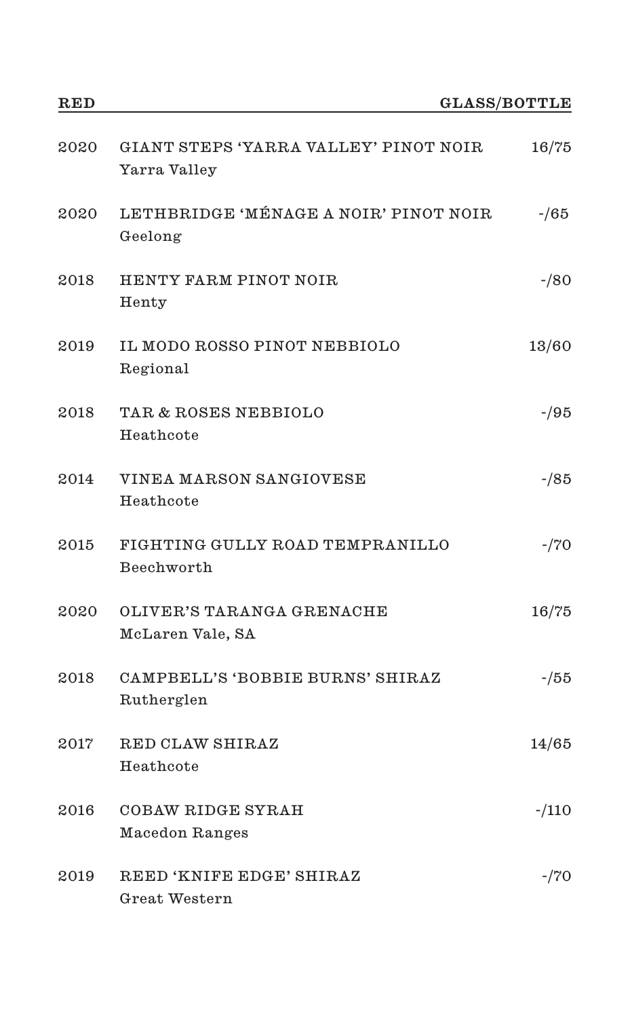| $_{\rm RED}$ |                                                       | <b>GLASS/BOTTLE</b> |
|--------------|-------------------------------------------------------|---------------------|
| 2020         | GIANT STEPS 'YARRA VALLEY' PINOT NOIR<br>Yarra Valley | 16/75               |
| 2020         | LETHBRIDGE 'MÉNAGE A NOIR' PINOT NOIR<br>Geelong      | $-165$              |
| 2018         | HENTY FARM PINOT NOIR<br>Henty                        | $-80$               |
| 2019         | IL MODO ROSSO PINOT NEBBIOLO<br>Regional              | 13/60               |
| 2018         | TAR & ROSES NEBBIOLO<br>Heathcote                     | -/95                |
| 2014         | VINEA MARSON SANGIOVESE<br>Heathcote                  | $-185$              |
| 2015         | FIGHTING GULLY ROAD TEMPRANILLO<br>Beechworth         | $-770$              |
| 2020         | OLIVER'S TARANGA GRENACHE<br>McLaren Vale, SA         | 16/75               |
| 2018         | CAMPBELL'S 'BOBBIE BURNS' SHIRAZ<br>Rutherglen        | $-155$              |
| 2017         | RED CLAW SHIRAZ<br>Heathcote                          | 14/65               |
| 2016         | COBAW RIDGE SYRAH<br>Macedon Ranges                   | $-110$              |
| 2019         | REED 'KNIFE EDGE' SHIRAZ<br>Great Western             | $-770$              |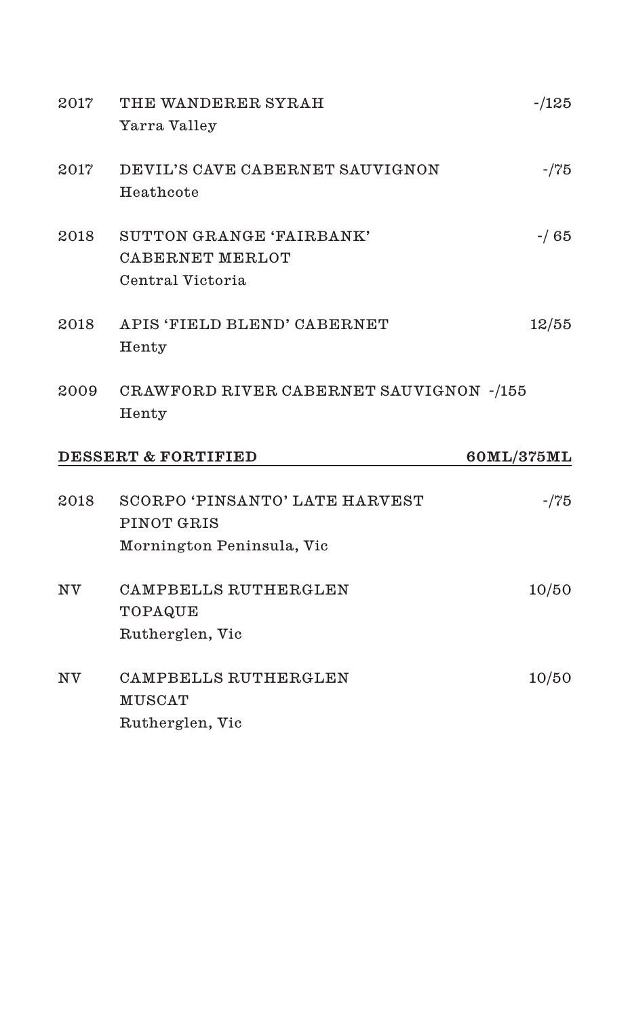| 2017 | THE WANDERER SYRAH                      | $-125$     |
|------|-----------------------------------------|------------|
|      | Yarra Valley                            |            |
| 2017 | DEVIL'S CAVE CABERNET SAUVIGNON         | $-175$     |
|      | Heathcote                               |            |
| 2018 | SUTTON GRANGE 'FAIRBANK'                | $-165$     |
|      | CABERNET MERLOT                         |            |
|      | Central Victoria                        |            |
| 2018 | APIS 'FIELD BLEND' CABERNET             | 12/55      |
|      | Henty                                   |            |
| 2009 | CRAWFORD RIVER CABERNET SAUVIGNON -/155 |            |
|      | Henty                                   |            |
|      |                                         |            |
|      | <b>DESSERT &amp; FORTIFIED</b>          | 60ML/375ML |
|      |                                         |            |
| 2018 | <b>SCORPO 'PINSANTO' LATE HARVEST</b>   | $-775$     |
|      | PINOT GRIS                              |            |
|      | Mornington Peninsula, Vic               |            |
| NV   | CAMPBELLS RUTHERGLEN                    | 10/50      |
|      | TOPAQUE                                 |            |
|      | Rutherglen, Vic                         |            |
| NV   | CAMPBELLS RUTHERGLEN                    | 10/50      |
|      | <b>MUSCAT</b>                           |            |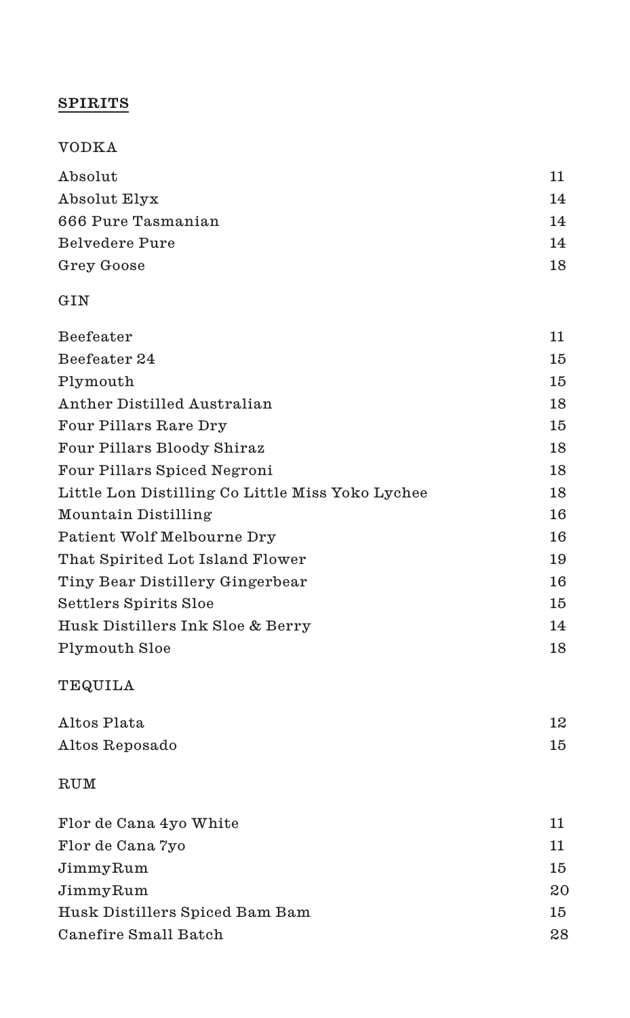# **SPIRITS**

# VODKA

| Absolut            | 11 |
|--------------------|----|
| Absolut Elyx       | 14 |
| 666 Pure Tasmanian | 14 |
| Belvedere Pure     | 14 |
| Grey Goose         | 18 |

#### GIN

| Beefeater                                        | 11 |
|--------------------------------------------------|----|
| Beefeater 24                                     | 15 |
| Plymouth                                         | 15 |
| Anther Distilled Australian                      | 18 |
| Four Pillars Rare Dry                            | 15 |
| Four Pillars Bloody Shiraz                       | 18 |
| Four Pillars Spiced Negroni                      | 18 |
| Little Lon Distilling Co Little Miss Yoko Lychee | 18 |
| Mountain Distilling                              | 16 |
| Patient Wolf Melbourne Dry                       | 16 |
| That Spirited Lot Island Flower                  | 19 |
| Tiny Bear Distillery Gingerbear                  | 16 |
| Settlers Spirits Sloe                            | 15 |
| Husk Distillers Ink Sloe & Berry                 | 14 |
| Plymouth Sloe                                    | 18 |
|                                                  |    |

# TEQUILA

| Altos Plata    | 12 |
|----------------|----|
| Altos Reposado | 15 |

# RUM

| Flor de Cana 4yo White         | 11 |
|--------------------------------|----|
| Flor de Cana 7yo               | 11 |
| JimmyRum                       | 15 |
| JimmyRum                       | 20 |
| Husk Distillers Spiced Bam Bam | 15 |
| Canefire Small Batch           | 28 |